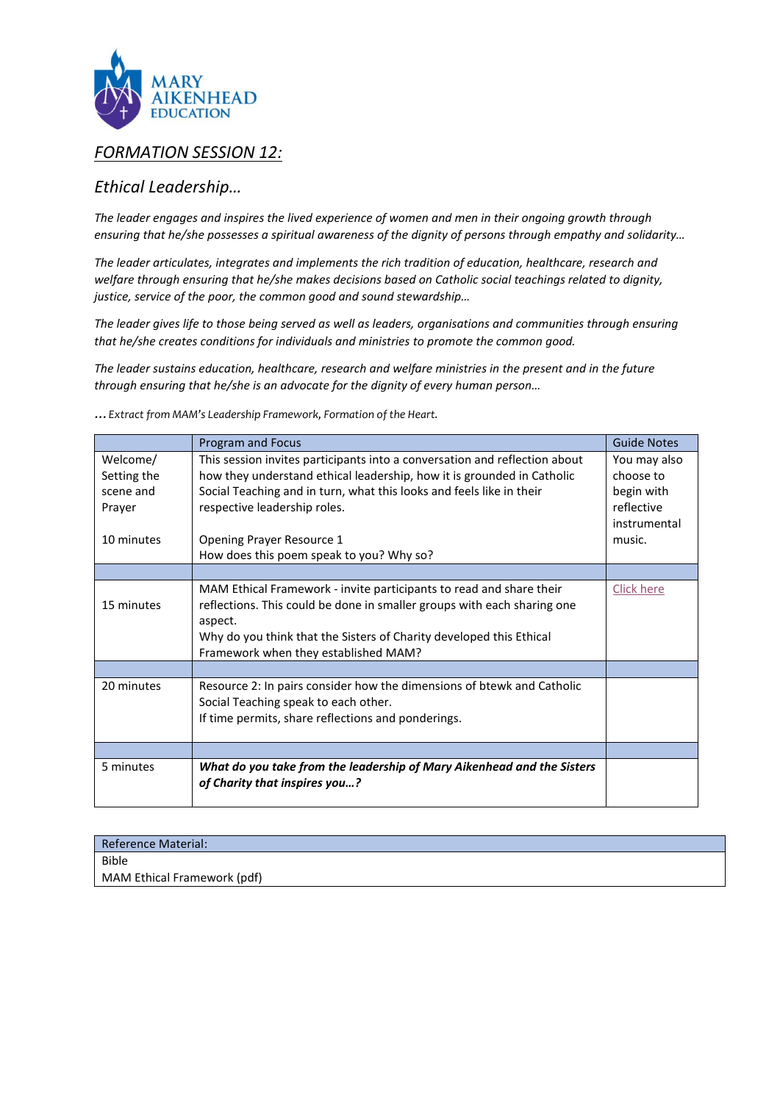

# *FORMATION SESSION 12:*

# *Ethical Leadership…*

*The leader engages and inspires the lived experience of women and men in their ongoing growth through ensuring that he/she possesses a spiritual awareness of the dignity of persons through empathy and solidarity…*

*The leader articulates, integrates and implements the rich tradition of education, healthcare, research and welfare through ensuring that he/she makes decisions based on Catholic social teachings related to dignity, justice, service of the poor, the common good and sound stewardship…*

*The leader gives life to those being served as well as leaders, organisations and communities through ensuring that he/she creates conditions for individuals and ministries to promote the common good.*

*The leader sustains education, healthcare, research and welfare ministries in the present and in the future through ensuring that he/she is an advocate for the dignity of every human person…*

*…Extract from MAM's Leadership Framework, Formation of the Heart.* 

|                                                              | <b>Program and Focus</b>                                                                                                                                                                                                                                                                                                              | <b>Guide Notes</b>                                                              |
|--------------------------------------------------------------|---------------------------------------------------------------------------------------------------------------------------------------------------------------------------------------------------------------------------------------------------------------------------------------------------------------------------------------|---------------------------------------------------------------------------------|
| Welcome/<br>Setting the<br>scene and<br>Prayer<br>10 minutes | This session invites participants into a conversation and reflection about<br>how they understand ethical leadership, how it is grounded in Catholic<br>Social Teaching and in turn, what this looks and feels like in their<br>respective leadership roles.<br>Opening Prayer Resource 1<br>How does this poem speak to you? Why so? | You may also<br>choose to<br>begin with<br>reflective<br>instrumental<br>music. |
|                                                              |                                                                                                                                                                                                                                                                                                                                       |                                                                                 |
| 15 minutes                                                   | MAM Ethical Framework - invite participants to read and share their<br>reflections. This could be done in smaller groups with each sharing one<br>aspect.<br>Why do you think that the Sisters of Charity developed this Ethical<br>Framework when they established MAM?                                                              | <b>Click here</b>                                                               |
|                                                              |                                                                                                                                                                                                                                                                                                                                       |                                                                                 |
| 20 minutes                                                   | Resource 2: In pairs consider how the dimensions of btewk and Catholic<br>Social Teaching speak to each other.<br>If time permits, share reflections and ponderings.                                                                                                                                                                  |                                                                                 |
|                                                              |                                                                                                                                                                                                                                                                                                                                       |                                                                                 |
| 5 minutes                                                    | What do you take from the leadership of Mary Aikenhead and the Sisters<br>of Charity that inspires you?                                                                                                                                                                                                                               |                                                                                 |

| <b>Reference Material:</b>  |  |
|-----------------------------|--|
| <b>Bible</b>                |  |
| MAM Ethical Framework (pdf) |  |
|                             |  |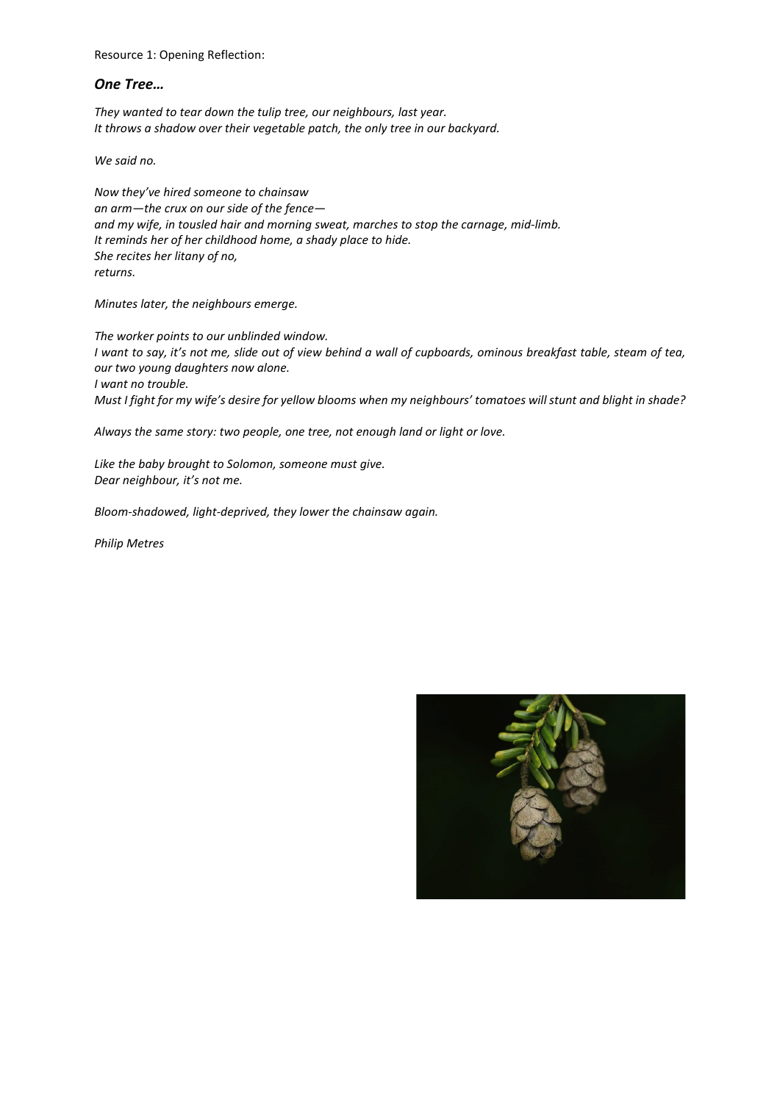Resource 1: Opening Reflection:

# *One Tree…*

*They wanted to tear down the tulip tree, our neighbours, last year. It throws a shadow over their vegetable patch, the only tree in our backyard.* 

*We said no.*

*Now they've hired someone to chainsaw an arm—the crux on our side of the fence and my wife, in tousled hair and morning sweat, marches to stop the carnage, mid-limb. It reminds her of her childhood home, a shady place to hide. She recites her litany of no, returns.* 

*Minutes later, the neighbours emerge.* 

*The worker points to our unblinded window. I want to say, it's not me, slide out of view behind a wall of cupboards, ominous breakfast table, steam of tea, our two young daughters now alone. I want no trouble. Must I fight for my wife's desire for yellow blooms when my neighbours' tomatoes will stunt and blight in shade?* 

*Always the same story: two people, one tree, not enough land or light or love.* 

*Like the baby brought to Solomon, someone must give. Dear neighbour, it's not me.* 

*Bloom-shadowed, light-deprived, they lower the chainsaw again.*

*Philip Metres*

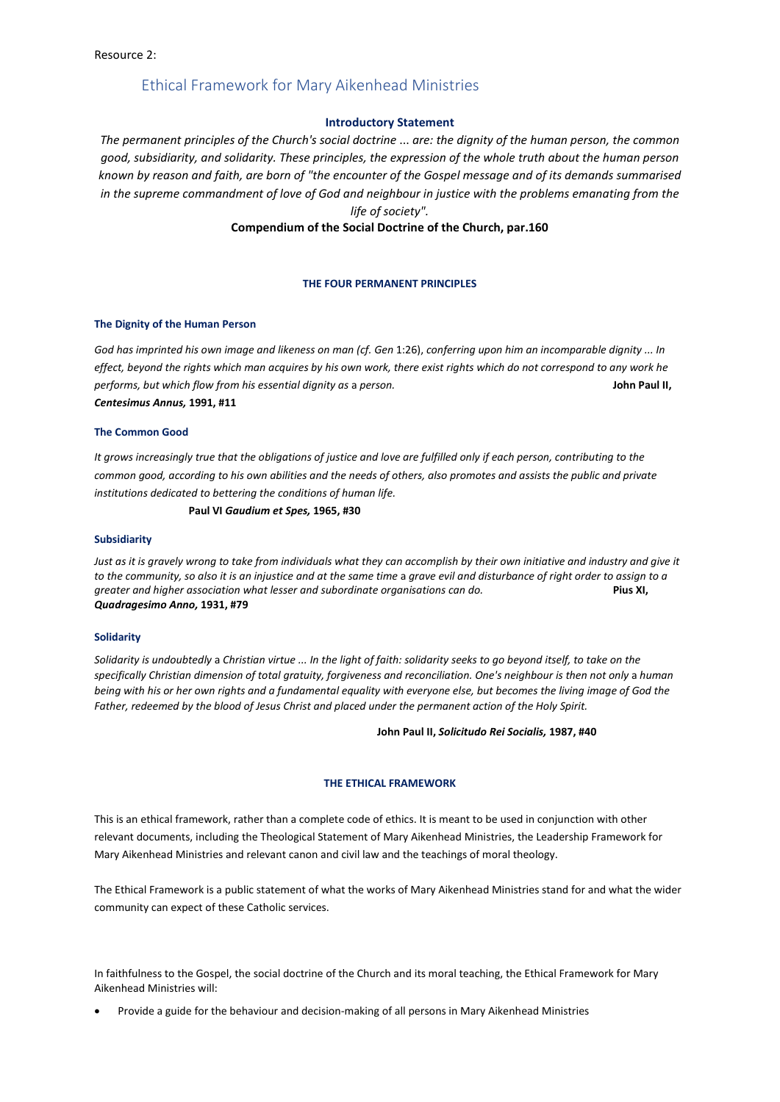# Ethical Framework for Mary Aikenhead Ministries

#### **Introductory Statement**

*The permanent principles of the Church's social doctrine* ... *are: the dignity of the human person, the common good, subsidiarity, and solidarity. These principles, the expression of the whole truth about the human person known by reason and faith, are born of "the encounter of the Gospel message and of its demands summarised in the supreme commandment of love of God and neighbour in justice with the problems emanating from the life of society".*

# **Compendium of the Social Doctrine of the Church, par.160**

#### **THE FOUR PERMANENT PRINCIPLES**

#### **The Dignity of the Human Person**

*God has imprinted his own image and likeness on man (cf. Gen* 1:26), *conferring upon him an incomparable dignity ... In effect, beyond the rights which man acquires by his own work, there exist rights which do not correspond to any work he performs, but which flow from his essential dignity as* a *person.* **John Paul II,**  *Centesimus Annus,* **1991, #11** 

#### **The Common Good**

*It grows increasingly true that the obligations of justice and love are fulfilled only if each person, contributing to the common good, according to his own abilities and the needs of others, also promotes and assists the public and private institutions dedicated to bettering the conditions of human life.* 

#### **Paul VI** *Gaudium et Spes,* **1965, #30**

### **Subsidiarity**

*Just as it is gravely wrong to take from individuals what they can accomplish by their own initiative and industry and give it to the community, so also it is an injustice and at the same time* a *grave evil and disturbance of right order to assign to a greater and higher association what lesser and subordinate organisations can do.* **Pius XI,**  *Quadragesimo Anno,* **1931, #79** 

#### **Solidarity**

*Solidarity is undoubtedly* a *Christian virtue ... In the light of faith: solidarity seeks to go beyond itself, to take on the*  specifically Christian dimension of total gratuity, forgiveness and reconciliation. One's neighbour is then not only a human *being with his or her own rights and a fundamental equality with everyone else, but becomes the living image of God the Father, redeemed by the blood of Jesus Christ and placed under the permanent action of the Holy Spirit.* 

#### **John Paul II,** *Solicitudo Rei Socialis,* **1987, #40**

#### **THE ETHICAL FRAMEWORK**

This is an ethical framework, rather than a complete code of ethics. It is meant to be used in conjunction with other relevant documents, including the Theological Statement of Mary Aikenhead Ministries, the Leadership Framework for Mary Aikenhead Ministries and relevant canon and civil law and the teachings of moral theology.

The Ethical Framework is a public statement of what the works of Mary Aikenhead Ministries stand for and what the wider community can expect of these Catholic services.

In faithfulness to the Gospel, the social doctrine of the Church and its moral teaching, the Ethical Framework for Mary Aikenhead Ministries will:

• Provide a guide for the behaviour and decision-making of all persons in Mary Aikenhead Ministries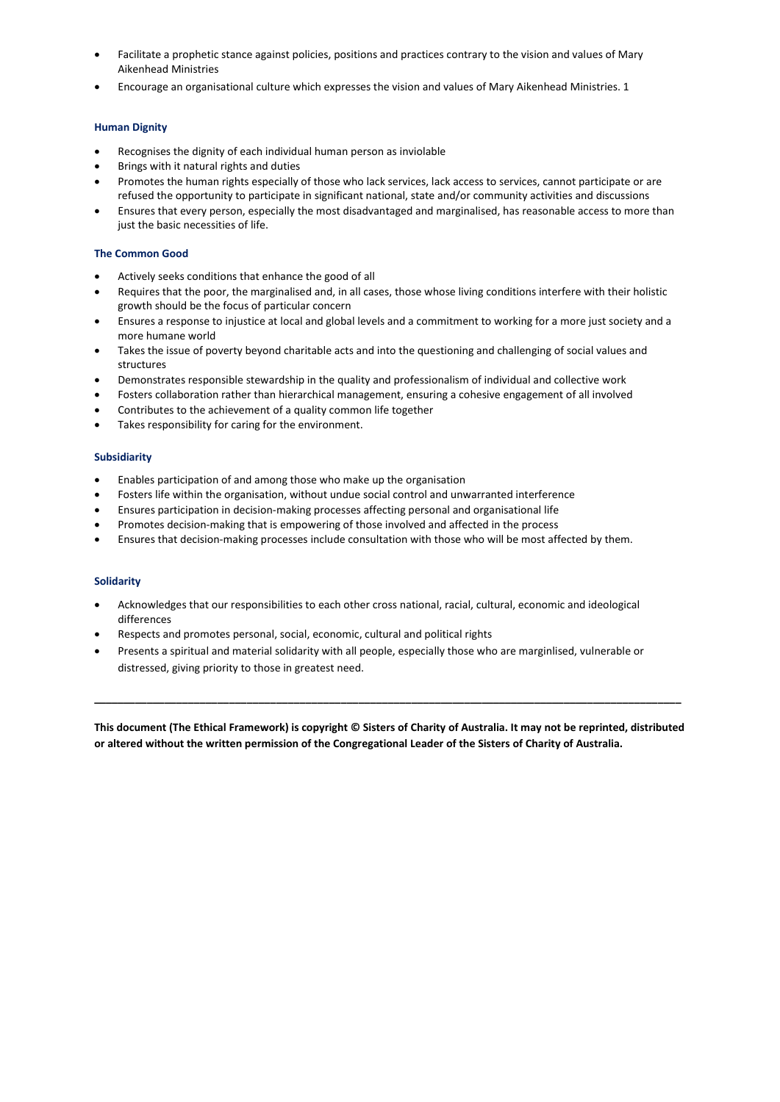- Facilitate a prophetic stance against policies, positions and practices contrary to the vision and values of Mary Aikenhead Ministries
- Encourage an organisational culture which expresses the vision and values of Mary Aikenhead Ministries. 1

## **Human Dignity**

- Recognises the dignity of each individual human person as inviolable
- Brings with it natural rights and duties
- Promotes the human rights especially of those who lack services, lack access to services, cannot participate or are refused the opportunity to participate in significant national, state and/or community activities and discussions
- Ensures that every person, especially the most disadvantaged and marginalised, has reasonable access to more than just the basic necessities of life.

### **The Common Good**

- Actively seeks conditions that enhance the good of all
- Requires that the poor, the marginalised and, in all cases, those whose living conditions interfere with their holistic growth should be the focus of particular concern
- Ensures a response to injustice at local and global levels and a commitment to working for a more just society and a more humane world
- Takes the issue of poverty beyond charitable acts and into the questioning and challenging of social values and structures
- Demonstrates responsible stewardship in the quality and professionalism of individual and collective work
- Fosters collaboration rather than hierarchical management, ensuring a cohesive engagement of all involved
- Contributes to the achievement of a quality common life together
- Takes responsibility for caring for the environment.

### **Subsidiarity**

- Enables participation of and among those who make up the organisation
- Fosters life within the organisation, without undue social control and unwarranted interference
- Ensures participation in decision-making processes affecting personal and organisational life
- Promotes decision-making that is empowering of those involved and affected in the process
- Ensures that decision-making processes include consultation with those who will be most affected by them.

## **Solidarity**

- Acknowledges that our responsibilities to each other cross national, racial, cultural, economic and ideological differences
- Respects and promotes personal, social, economic, cultural and political rights
- Presents a spiritual and material solidarity with all people, especially those who are marginlised, vulnerable or distressed, giving priority to those in greatest need.

**This document (The Ethical Framework) is copyright © Sisters of Charity of Australia. It may not be reprinted, distributed or altered without the written permission of the Congregational Leader of the Sisters of Charity of Australia.**

**\_\_\_\_\_\_\_\_\_\_\_\_\_\_\_\_\_\_\_\_\_\_\_\_\_\_\_\_\_\_\_\_\_\_\_\_\_\_\_\_\_\_\_\_\_\_\_\_\_\_\_\_\_\_\_\_\_\_\_\_\_\_\_\_\_\_\_\_\_\_\_\_\_\_\_\_\_\_\_\_\_\_\_\_\_\_\_\_\_\_\_\_\_\_\_\_\_\_\_\_**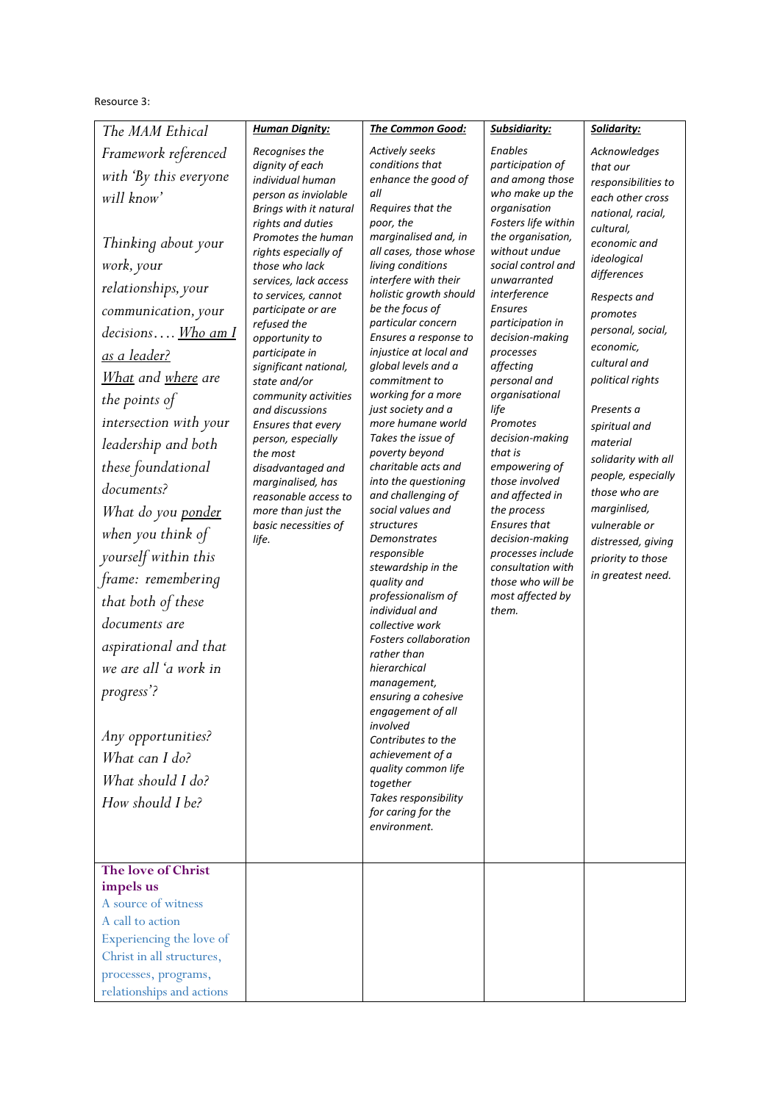# Resource 3:

| The MAM Ethical                                                                                                                                                                                                                                                                                                                                                                                                                                                                                                                                                                                                                        | <b>Human Dignity:</b>                                                                                                                                                                                                                                                                                                                                                                                                                                                                                                                                                                      | The Common Good:                                                                                                                                                                                                                                                                                                                                                                                                                                                                                                                                                                                                                                                                                                                                                                                                                                                                                                                                                                                       | Subsidiarity:                                                                                                                                                                                                                                                                                                                                                                                                                                                                                                                                                                  | Solidarity:                                                                                                                                                                                                                                                                                                                                                                                                                                                     |
|----------------------------------------------------------------------------------------------------------------------------------------------------------------------------------------------------------------------------------------------------------------------------------------------------------------------------------------------------------------------------------------------------------------------------------------------------------------------------------------------------------------------------------------------------------------------------------------------------------------------------------------|--------------------------------------------------------------------------------------------------------------------------------------------------------------------------------------------------------------------------------------------------------------------------------------------------------------------------------------------------------------------------------------------------------------------------------------------------------------------------------------------------------------------------------------------------------------------------------------------|--------------------------------------------------------------------------------------------------------------------------------------------------------------------------------------------------------------------------------------------------------------------------------------------------------------------------------------------------------------------------------------------------------------------------------------------------------------------------------------------------------------------------------------------------------------------------------------------------------------------------------------------------------------------------------------------------------------------------------------------------------------------------------------------------------------------------------------------------------------------------------------------------------------------------------------------------------------------------------------------------------|--------------------------------------------------------------------------------------------------------------------------------------------------------------------------------------------------------------------------------------------------------------------------------------------------------------------------------------------------------------------------------------------------------------------------------------------------------------------------------------------------------------------------------------------------------------------------------|-----------------------------------------------------------------------------------------------------------------------------------------------------------------------------------------------------------------------------------------------------------------------------------------------------------------------------------------------------------------------------------------------------------------------------------------------------------------|
| Framework referenced<br>with 'By this everyone<br>will know'<br>Thinking about your<br>work, your<br>relationships, your<br>communication, your<br>decisions Who am I<br><u>as a leader?</u><br><u>What</u> and where are<br>the points of<br>intersection with your<br>leadership and both<br>these foundational<br>documents?<br>What do you ponder<br>when you think of<br>yourself within this<br>frame: remembering<br>that both of these<br>documents are<br>aspirational and that<br>we are all 'a work in<br>progress'?<br>Any opportunities?<br>What can I do?<br>What should I do?<br>How should I be?<br>The love of Christ | Recognises the<br>dignity of each<br>individual human<br>person as inviolable<br>Brings with it natural<br>rights and duties<br>Promotes the human<br>rights especially of<br>those who lack<br>services, lack access<br>to services, cannot<br>participate or are<br>refused the<br>opportunity to<br>participate in<br>significant national,<br>state and/or<br>community activities<br>and discussions<br>Ensures that every<br>person, especially<br>the most<br>disadvantaged and<br>marginalised, has<br>reasonable access to<br>more than just the<br>basic necessities of<br>life. | <b>Actively seeks</b><br>conditions that<br>enhance the good of<br>all<br>Requires that the<br>poor, the<br>marginalised and, in<br>all cases, those whose<br>living conditions<br>interfere with their<br>holistic growth should<br>be the focus of<br>particular concern<br>Ensures a response to<br>injustice at local and<br>global levels and a<br>commitment to<br>working for a more<br>just society and a<br>more humane world<br>Takes the issue of<br>poverty beyond<br>charitable acts and<br>into the questioning<br>and challenging of<br>social values and<br>structures<br>Demonstrates<br>responsible<br>stewardship in the<br>quality and<br>professionalism of<br>individual and<br>collective work<br><b>Fosters collaboration</b><br>rather than<br>hierarchical<br>management,<br>ensuring a cohesive<br>engagement of all<br>involved<br>Contributes to the<br>achievement of a<br>quality common life<br>together<br>Takes responsibility<br>for caring for the<br>environment. | Enables<br>participation of<br>and among those<br>who make up the<br>organisation<br>Fosters life within<br>the organisation,<br>without undue<br>social control and<br>unwarranted<br>interference<br><b>Ensures</b><br>participation in<br>decision-making<br>processes<br>affecting<br>personal and<br>organisational<br>life<br>Promotes<br>decision-making<br>that is<br>empowering of<br>those involved<br>and affected in<br>the process<br>Ensures that<br>decision-making<br>processes include<br>consultation with<br>those who will be<br>most affected by<br>them. | Acknowledges<br>that our<br>responsibilities to<br>each other cross<br>national, racial,<br>cultural,<br>economic and<br>ideological<br>differences<br>Respects and<br>promotes<br>personal, social,<br>economic,<br>cultural and<br>political rights<br>Presents a<br>spiritual and<br>material<br>solidarity with all<br>people, especially<br>those who are<br>marginlised,<br>vulnerable or<br>distressed, giving<br>priority to those<br>in greatest need. |
| impels us<br>A source of witness<br>A call to action<br>Experiencing the love of<br>Christ in all structures,<br>processes, programs,<br>relationships and actions                                                                                                                                                                                                                                                                                                                                                                                                                                                                     |                                                                                                                                                                                                                                                                                                                                                                                                                                                                                                                                                                                            |                                                                                                                                                                                                                                                                                                                                                                                                                                                                                                                                                                                                                                                                                                                                                                                                                                                                                                                                                                                                        |                                                                                                                                                                                                                                                                                                                                                                                                                                                                                                                                                                                |                                                                                                                                                                                                                                                                                                                                                                                                                                                                 |